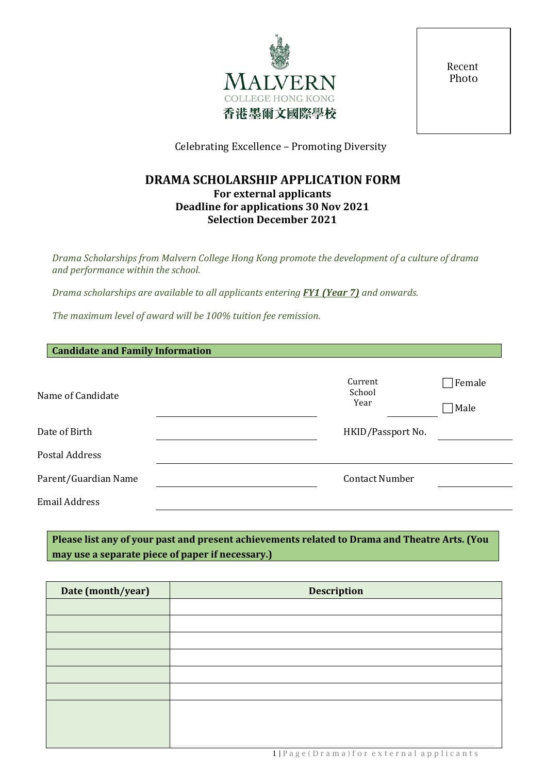

Recent Photo

Celebrating Excellence – Promoting Diversity

# **DRAMA SCHOLARSHIP APPLICATION FORM For external applicants Deadline for applications 30 Nov 2021 Selection December 2021**

*Drama Scholarships from Malvern College Hong Kong promote the development of a culture of drama and performance within the school.*

*Drama scholarships are available to all applicants entering FY1 (Year 7) and onwards.* 

*The maximum level of award will be 100% tuition fee remission.*

| <b>Candidate and Family Information</b> |                           |                |
|-----------------------------------------|---------------------------|----------------|
| Name of Candidate                       | Current<br>School<br>Year | Female<br>Male |
| Date of Birth                           | HKID/Passport No.         |                |
| Postal Address                          |                           |                |
| Parent/Guardian Name                    | <b>Contact Number</b>     |                |
| <b>Email Address</b>                    |                           |                |
|                                         |                           |                |

**Please list any of your past and present achievements related to Drama and Theatre Arts. (You may use a separate piece of paper if necessary.)**

| Date (month/year) | <b>Description</b> |
|-------------------|--------------------|
|                   |                    |
|                   |                    |
|                   |                    |
|                   |                    |
|                   |                    |
|                   |                    |
|                   |                    |
|                   |                    |
|                   |                    |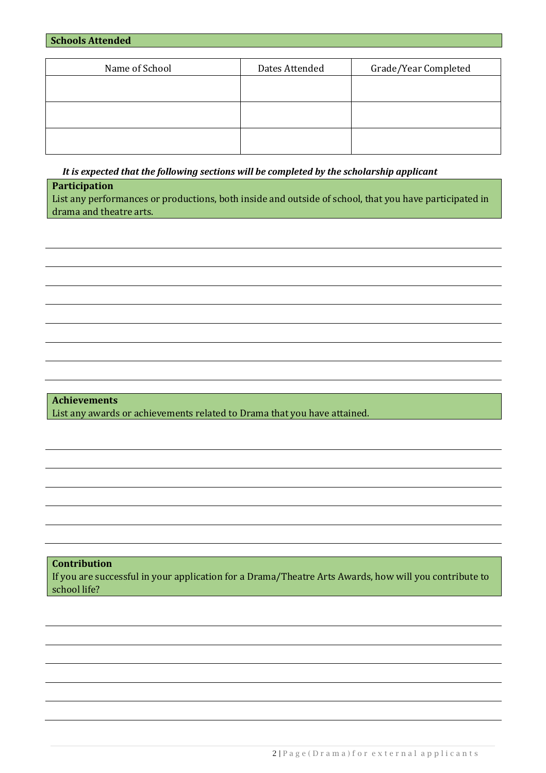|  | <b>Schools Attended</b> |  |
|--|-------------------------|--|
|--|-------------------------|--|

| Name of School | Dates Attended | Grade/Year Completed |
|----------------|----------------|----------------------|
|                |                |                      |
|                |                |                      |
|                |                |                      |
|                |                |                      |
|                |                |                      |
|                |                |                      |

*It is expected that the following sections will be completed by the scholarship applicant*

**Participation**

List any performances or productions, both inside and outside of school, that you have participated in drama and theatre arts.

**Achievements** List any awards or achievements related to Drama that you have attained.

**Contribution**

If you are successful in your application for a Drama/Theatre Arts Awards, how will you contribute to school life?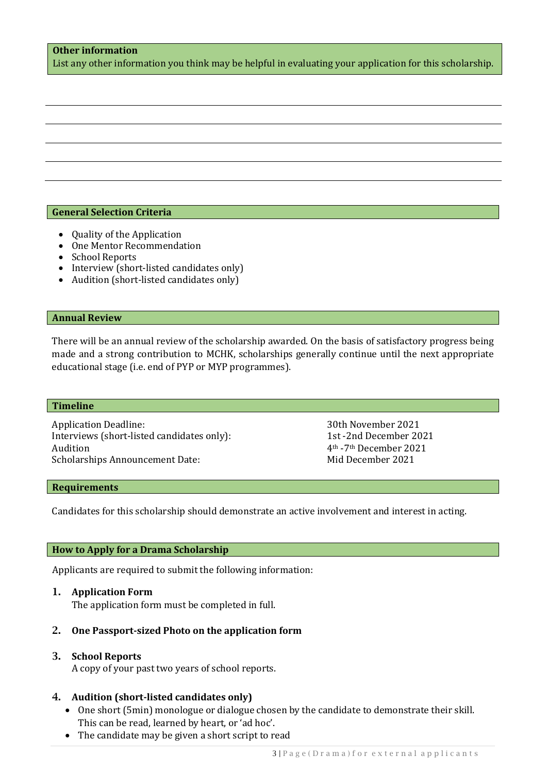# **Other information**

List any other information you think may be helpful in evaluating your application for this scholarship.

## **General Selection Criteria**

- Quality of the Application
- One Mentor Recommendation
- School Reports
- Interview (short-listed candidates only)
- Audition (short-listed candidates only)

#### **Annual Review**

There will be an annual review of the scholarship awarded. On the basis of satisfactory progress being made and a strong contribution to MCHK, scholarships generally continue until the next appropriate educational stage (i.e. end of PYP or MYP programmes).

#### **Timeline**

Application Deadline: 30th November 2021<br>
Interviews (short-listed candidates only): 30th November 2021 Interviews (short-listed candidates only):<br>Audition Scholarships Announcement Date:

4<sup>th</sup> -7<sup>th</sup> December 2021<br>Mid December 2021

#### **Requirements**

Candidates for this scholarship should demonstrate an active involvement and interest in acting.

## **How to Apply for a Drama Scholarship**

Applicants are required to submit the following information:

## 1. **Application Form**

The application form must be completed in full.

## 2. **One Passport-sized Photo on the application form**

## 3. **School Reports**

A copy of your past two years of school reports.

## 4. **Audition (short-listed candidates only)**

- One short (5min) monologue or dialogue chosen by the candidate to demonstrate their skill. This can be read, learned by heart, or 'ad hoc'.
- The candidate may be given a short script to read